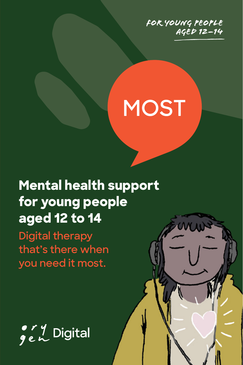

# **MOST**

## **Mental health support for young people aged 12 to 14**

**Digital therapy that's there when you need it most.**

**OLL** Digital

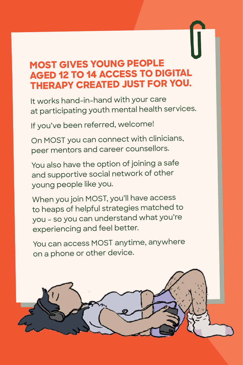#### **MOST GIVES YOUNG PEOPLE AGED 12 TO 14 ACCESS TO DIGITAL THERAPY CREATED JUST FOR YOU.**

It works hand-in-hand with your care at participating youth mental health services.

If you've been referred, welcome!

On MOST you can connect with clinicians, peer mentors and career counsellors.

You also have the option of joining a safe and supportive social network of other young people like you.

When you join MOST, you'll have access to heaps of helpful strategies matched to you – so you can understand what you're experiencing and feel better.

You can access MOST anytime, anywhere on a phone or other device.

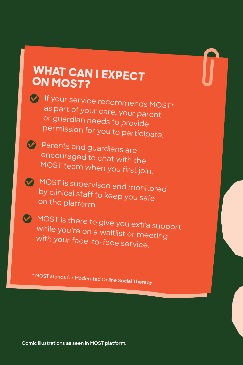## **WHAT CAN I EXPECT ON MOST?**

**If your service recommends MOST\*** as part of your care, your parent or guardian needs to provide permission for you to participate.

- **Parents and guardians are** encouraged to chat with the MOST team when you first join.
- **MOST** is supervised and monitored by clinical staff to keep you safe on the platform.

MOST is there to give you extra support while you're on a waitlist or meeting with your face-to-face service.

**\* MOST stands for Moderated Online Social Therapy**

**Comic illustrations as seen in MOST platform.**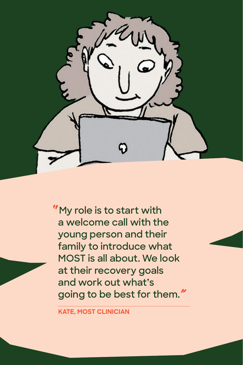

*"* **My role is to start with a welcome call with the young person and their family to introduce what MOST is all about. We look at their recovery goals and work out what's going to be best for them.***"*

**KATE, MOST CLINICIAN**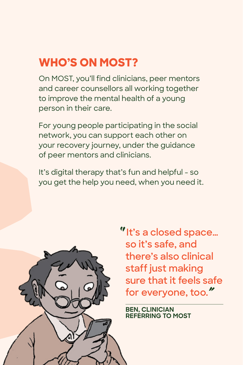## **WHO'S ON MOST?**

On MOST, you'll find clinicians, peer mentors and career counsellors all working together to improve the mental health of a young person in their care.

For young people participating in the social network, you can support each other on your recovery journey, under the guidance of peer mentors and clinicians.

It's digital therapy that's fun and helpful - so you get the help you need, when you need it.



*"***It's a closed space… so it's safe, and there's also clinical staff just making sure that it feels safe for everyone, too.***"*

**BEN, CLINICIAN REFERRING TO MOST**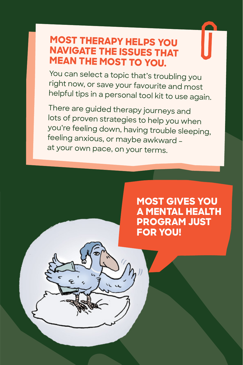#### **MOST THERAPY HELPS YOU NAVIGATE THE ISSUES THAT MEAN THE MOST TO YOU.**

You can select a topic that's troubling you right now, or save your favourite and most helpful tips in a personal tool kit to use again.

There are guided therapy journeys and lots of proven strategies to help you when you're feeling down, having trouble sleeping, feeling anxious, or maybe awkward – at your own pace, on your terms.

> **MOST GIVES YOU A MENTAL HEALTH PROGRAM JUST FOR YOU!**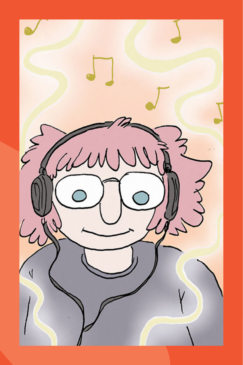